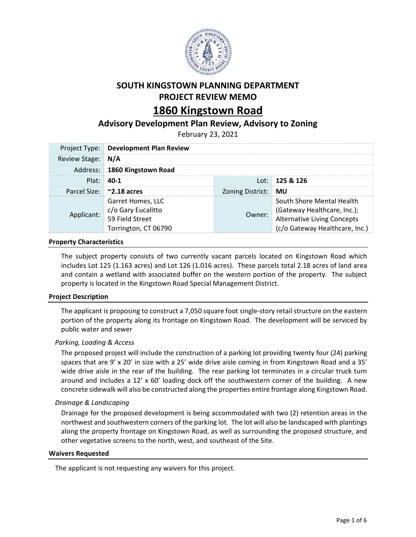

# **SOUTH KINGSTOWN PLANNING DEPARTMENT PROJECT REVIEW MEMO**

# **1860 Kingstown Road**

# **Advisory Development Plan Review, Advisory to Zoning**

February 23, 2021

|                   | <b>Project Type: Development Plan Review</b>                                       |                     |                                                                                                                           |  |  |
|-------------------|------------------------------------------------------------------------------------|---------------------|---------------------------------------------------------------------------------------------------------------------------|--|--|
| Review Stage: N/A |                                                                                    |                     |                                                                                                                           |  |  |
|                   | Address: 1860 Kingstown Road                                                       |                     |                                                                                                                           |  |  |
|                   | $Plat: 40-1$                                                                       |                     | Lot: 125 & 126                                                                                                            |  |  |
|                   | Parcel Size: 2.18 acres                                                            | Zoning District: MU |                                                                                                                           |  |  |
| Applicant:        | Garret Homes, LLC<br>c/o Gary Eucalitto<br>59 Field Street<br>Torrington, CT 06790 | Owner:              | South Shore Mental Health<br>(Gateway Healthcare, Inc.);<br>Alternative Living Concepts<br>(c/o Gateway Healthcare, Inc.) |  |  |

# **Property Characteristics**

The subject property consists of two currently vacant parcels located on Kingstown Road which includes Lot 125 (1.163 acres) and Lot 126 (1.016 acres). These parcels total 2.18 acres of land area and contain a wetland with associated buffer on the western portion of the property. The subject property is located in the Kingstown Road Special Management District.

# **Project Description**

The applicant is proposing to construct a 7,050 square foot single-story retail structure on the eastern portion of the property along its frontage on Kingstown Road. The development will be serviced by public water and sewer

# *Parking, Loading & Access*

The proposed project will include the construction of a parking lot providing twenty four (24) parking spaces that are 9' x 20' in size with a 25' wide drive aisle coming in from Kingstown Road and a 35' wide drive aisle in the rear of the building. The rear parking lot terminates in a circular truck turn around and includes a 12' x 60' loading dock off the southwestern corner of the building. A new concrete sidewalk will also be constructed along the properties entire frontage along Kingstown Road.

#### *Drainage & Landscaping*

Drainage for the proposed development is being accommodated with two (2) retention areas in the northwest and southwestern corners of the parking lot. The lot will also be landscaped with plantings along the property frontage on Kingstown Road, as well as surrounding the proposed structure, and other vegetative screens to the north, west, and southeast of the Site.

#### **Waivers Requested**

The applicant is not requesting any waivers for this project.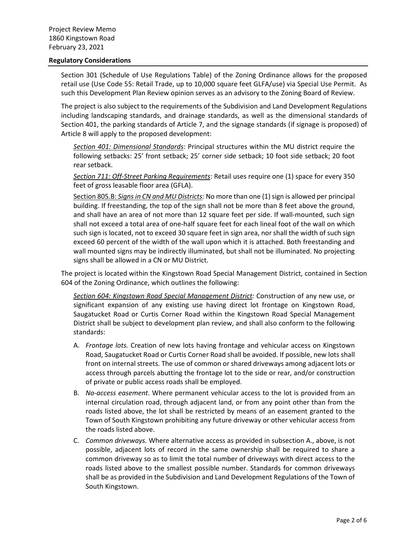#### **Regulatory Considerations**

Section 301 (Schedule of Use Regulations Table) of the Zoning Ordinance allows for the proposed retail use (Use Code 55: Retail Trade, up to 10,000 square feet GLFA/use) via Special Use Permit. As such this Development Plan Review opinion serves as an advisory to the Zoning Board of Review.

The project is also subject to the requirements of the Subdivision and Land Development Regulations including landscaping standards, and drainage standards, as well as the dimensional standards of Section 401, the parking standards of Article 7, and the signage standards (if signage is proposed) of Article 8 will apply to the proposed development:

*Section 401: Dimensional Standards*: Principal structures within the MU district require the following setbacks: 25' front setback; 25' corner side setback; 10 foot side setback; 20 foot rear setback.

*Section 711: Off-Street Parking Requirements*: Retail uses require one (1) space for every 350 feet of gross leasable floor area (GFLA).

Section 805.B: *Signs in CN and MU Districts:* No more than one (1) sign is allowed per principal building. If freestanding, the top of the sign shall not be more than 8 feet above the ground, and shall have an area of not more than 12 square feet per side. If wall-mounted, such sign shall not exceed a total area of one-half square feet for each lineal foot of the wall on which such sign is located, not to exceed 30 square feet in sign area, nor shall the width of such sign exceed 60 percent of the width of the wall upon which it is attached. Both freestanding and wall mounted signs may be indirectly illuminated, but shall not be illuminated. No projecting signs shall be allowed in a CN or MU District.

The project is located within the Kingstown Road Special Management District, contained in Section 604 of the Zoning Ordinance, which outlines the following:

*Section 604: Kingstown Road Special Management District:* Construction of any new use, or significant expansion of any existing use having direct lot frontage on Kingstown Road, Saugatucket Road or Curtis Corner Road within the Kingstown Road Special Management District shall be subject to development plan review, and shall also conform to the following standards:

- A. *Frontage lots.* Creation of new lots having frontage and vehicular access on Kingstown Road, Saugatucket Road or Curtis Corner Road shall be avoided. If possible, new lots shall front on internal streets. The use of common or shared driveways among adjacent lots or access through parcels abutting the frontage lot to the side or rear, and/or construction of private or public access roads shall be employed.
- B. *No-access easement.* Where permanent vehicular access to the lot is provided from an internal circulation road, through adjacent land, or from any point other than from the roads listed above, the lot shall be restricted by means of an easement granted to the Town of South Kingstown prohibiting any future driveway or other vehicular access from the roads listed above.
- C. *Common driveways.* Where alternative access as provided in subsection A., above, is not possible, adjacent lots of record in the same ownership shall be required to share a common driveway so as to limit the total number of driveways with direct access to the roads listed above to the smallest possible number. Standards for common driveways shall be as provided in the Subdivision and Land Development Regulations of the Town of South Kingstown.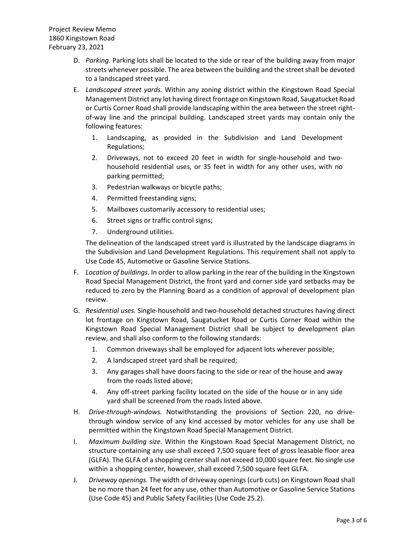- D. *Parking.* Parking lots shall be located to the side or rear of the building away from major streets whenever possible. The area between the building and the street shall be devoted to a landscaped street yard.
- E. *Landscaped street yards.* Within any zoning district within the Kingstown Road Special Management District any lot having direct frontage on Kingstown Road, Saugatucket Road or Curtis Corner Road shall provide landscaping within the area between the street rightof-way line and the principal building. Landscaped street yards may contain only the following features:
	- 1. Landscaping, as provided in the Subdivision and Land Development Regulations;
	- 2. Driveways, not to exceed 20 feet in width for single-household and twohousehold residential uses, or 35 feet in width for any other uses, with no parking permitted;
	- 3. Pedestrian walkways or bicycle paths;
	- 4. Permitted freestanding signs;
	- 5. Mailboxes customarily accessory to residential uses;
	- 6. Street signs or traffic control signs;
	- 7. Underground utilities.

The delineation of the landscaped street yard is illustrated by the landscape diagrams in the Subdivision and Land Development Regulations. This requirement shall not apply to Use Code 45, Automotive or Gasoline Service Stations.

- F. *Location of buildings.* In order to allow parking in the rear of the building in the Kingstown Road Special Management District, the front yard and corner side yard setbacks may be reduced to zero by the Planning Board as a condition of approval of development plan review.
- G. *Residential uses.* Single-household and two-household detached structures having direct lot frontage on Kingstown Road, Saugatucket Road or Curtis Corner Road within the Kingstown Road Special Management District shall be subject to development plan review, and shall also conform to the following standards:
	- 1. Common driveways shall be employed for adjacent lots wherever possible;
	- 2. A landscaped street yard shall be required;
	- 3. Any garages shall have doors facing to the side or rear of the house and away from the roads listed above;
	- 4. Any off-street parking facility located on the side of the house or in any side yard shall be screened from the roads listed above.
- H. *Drive-through-windows.* Notwithstanding the provisions of Section 220, no drivethrough window service of any kind accessed by motor vehicles for any use shall be permitted within the Kingstown Road Special Management District.
- I. *Maximum building size.* Within the Kingstown Road Special Management District, no structure containing any use shall exceed 7,500 square feet of gross leasable floor area (GLFA). The GLFA of a shopping center shall not exceed 10,000 square feet. No single use within a shopping center, however, shall exceed 7,500 square feet GLFA.
- J. *Driveway openings.* The width of driveway openings (curb cuts) on Kingstown Road shall be no more than 24 feet for any use, other than Automotive or Gasoline Service Stations (Use Code 45) and Public Safety Facilities (Use Code 25.2).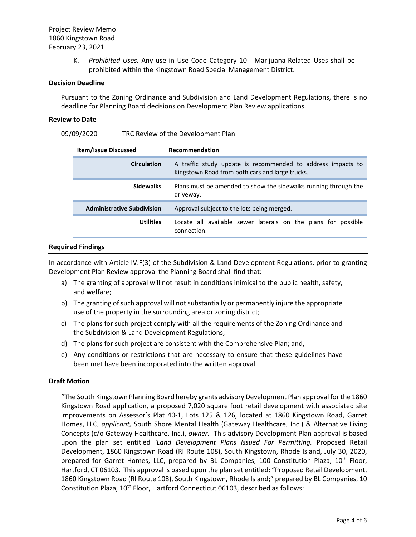K. *Prohibited Uses.* Any use in Use Code Category 10 - Marijuana-Related Uses shall be prohibited within the Kingstown Road Special Management District.

#### **Decision Deadline**

Pursuant to the Zoning Ordinance and Subdivision and Land Development Regulations, there is no deadline for Planning Board decisions on Development Plan Review applications.

#### **Review to Date**

| 09/09/2020<br>TRC Review of the Development Plan |  |
|--------------------------------------------------|--|
|--------------------------------------------------|--|

| <b>Item/Issue Discussed</b>       | Recommendation                                                                                                 |  |  |
|-----------------------------------|----------------------------------------------------------------------------------------------------------------|--|--|
| <b>Circulation</b>                | A traffic study update is recommended to address impacts to<br>Kingstown Road from both cars and large trucks. |  |  |
| <b>Sidewalks</b>                  | Plans must be amended to show the sidewalks running through the<br>driveway.                                   |  |  |
| <b>Administrative Subdivision</b> | Approval subject to the lots being merged.                                                                     |  |  |
| <b>Utilities</b>                  | Locate all available sewer laterals on the plans for possible<br>connection.                                   |  |  |

#### **Required Findings**

In accordance with Article IV.F(3) of the Subdivision & Land Development Regulations, prior to granting Development Plan Review approval the Planning Board shall find that:

- a) The granting of approval will not result in conditions inimical to the public health, safety, and welfare;
- b) The granting of such approval will not substantially or permanently injure the appropriate use of the property in the surrounding area or zoning district;
- c) The plans for such project comply with all the requirements of the Zoning Ordinance and the Subdivision & Land Development Regulations;
- d) The plans for such project are consistent with the Comprehensive Plan; and,
- e) Any conditions or restrictions that are necessary to ensure that these guidelines have been met have been incorporated into the written approval.

#### **Draft Motion**

"The South Kingstown Planning Board hereby grants advisory Development Plan approval for the 1860 Kingstown Road application, a proposed 7,020 square foot retail development with associated site improvements on Assessor's Plat 40-1, Lots 125 & 126, located at 1860 Kingstown Road, Garret Homes, LLC, *applicant,* South Shore Mental Health (Gateway Healthcare, Inc.) & Alternative Living Concepts (c/o Gateway Healthcare, Inc.), *owner.* This advisory Development Plan approval is based upon the plan set entitled *'Land Development Plans Issued For Permitting,* Proposed Retail Development, 1860 Kingstown Road (RI Route 108), South Kingstown, Rhode Island, July 30, 2020, prepared for Garret Homes, LLC, prepared by BL Companies, 100 Constitution Plaza, 10<sup>th</sup> Floor, Hartford, CT 06103. This approval is based upon the plan set entitled: "Proposed Retail Development, 1860 Kingstown Road (RI Route 108), South Kingstown, Rhode Island;" prepared by BL Companies, 10 Constitution Plaza, 10<sup>th</sup> Floor, Hartford Connecticut 06103, described as follows: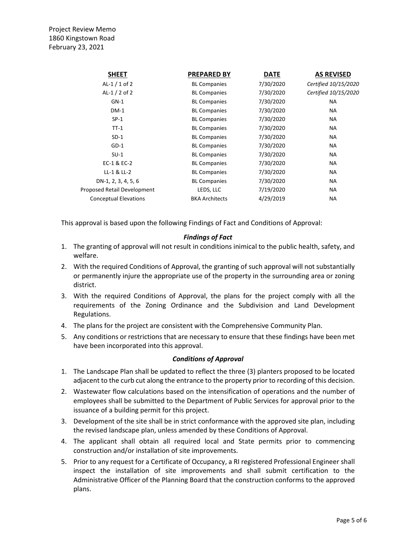| <b>SHEET</b>                 | <b>PREPARED BY</b>    | <b>DATE</b> | <b>AS REVISED</b>    |
|------------------------------|-----------------------|-------------|----------------------|
| AL-1 $/$ 1 of 2              | <b>BL Companies</b>   | 7/30/2020   | Certified 10/15/2020 |
| AL-1 $/$ 2 of 2              | <b>BL Companies</b>   | 7/30/2020   | Certified 10/15/2020 |
| $GN-1$                       | <b>BL Companies</b>   | 7/30/2020   | <b>NA</b>            |
| $DM-1$                       | <b>BL Companies</b>   | 7/30/2020   | <b>NA</b>            |
| $SP-1$                       | <b>BL Companies</b>   | 7/30/2020   | <b>NA</b>            |
| $TT-1$                       | <b>BL Companies</b>   | 7/30/2020   | NA.                  |
| $SD-1$                       | <b>BL Companies</b>   | 7/30/2020   | NA.                  |
| $GD-1$                       | <b>BL Companies</b>   | 7/30/2020   | <b>NA</b>            |
| $SU-1$                       | <b>BL Companies</b>   | 7/30/2020   | NA                   |
| EC-1 & EC-2                  | <b>BL Companies</b>   | 7/30/2020   | <b>NA</b>            |
| LL-1 & LL-2                  | <b>BL Companies</b>   | 7/30/2020   | NA                   |
| DN-1, 2, 3, 4, 5, 6          | <b>BL Companies</b>   | 7/30/2020   | <b>NA</b>            |
| Proposed Retail Development  | LEDS, LLC             | 7/19/2020   | NA                   |
| <b>Conceptual Elevations</b> | <b>BKA Architects</b> | 4/29/2019   | <b>NA</b>            |
|                              |                       |             |                      |

This approval is based upon the following Findings of Fact and Conditions of Approval:

### *Findings of Fact*

- 1. The granting of approval will not result in conditions inimical to the public health, safety, and welfare.
- 2. With the required Conditions of Approval, the granting of such approval will not substantially or permanently injure the appropriate use of the property in the surrounding area or zoning district.
- 3. With the required Conditions of Approval, the plans for the project comply with all the requirements of the Zoning Ordinance and the Subdivision and Land Development Regulations.
- 4. The plans for the project are consistent with the Comprehensive Community Plan.
- 5. Any conditions or restrictions that are necessary to ensure that these findings have been met have been incorporated into this approval.

# *Conditions of Approval*

- 1. The Landscape Plan shall be updated to reflect the three (3) planters proposed to be located adjacent to the curb cut along the entrance to the property prior to recording of this decision.
- 2. Wastewater flow calculations based on the intensification of operations and the number of employees shall be submitted to the Department of Public Services for approval prior to the issuance of a building permit for this project.
- 3. Development of the site shall be in strict conformance with the approved site plan, including the revised landscape plan, unless amended by these Conditions of Approval.
- 4. The applicant shall obtain all required local and State permits prior to commencing construction and/or installation of site improvements.
- 5. Prior to any request for a Certificate of Occupancy, a RI registered Professional Engineer shall inspect the installation of site improvements and shall submit certification to the Administrative Officer of the Planning Board that the construction conforms to the approved plans.